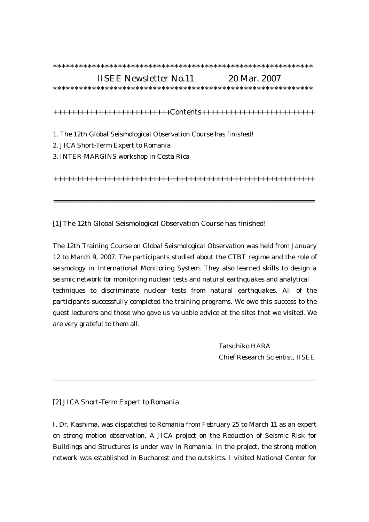| <b>IISEE Newsletter No.11</b>                                     | 20 Mar. 2007 |  |
|-------------------------------------------------------------------|--------------|--|
|                                                                   |              |  |
|                                                                   |              |  |
| 1. The 12th Global Seismological Observation Course has finished! |              |  |
| 2. JICA Short-Term Expert to Romania                              |              |  |
| 3. INTER-MARGINS workshop in Costa Rica                           |              |  |
|                                                                   |              |  |
|                                                                   |              |  |

[1] The 12th Global Seismological Observation Course has finished!

The 12th Training Course on Global Seismological Observation was held from January 12 to March 9, 2007. The participants studied about the CTBT regime and the role of seismology in International Monitoring System. They also learned skills to design a seismic network for monitoring nuclear tests and natural earthquakes and analytical techniques to discriminate nuclear tests from natural earthquakes. All of the participants successfully completed the training programs. We owe this success to the guest lecturers and those who gave us valuable advice at the sites that we visited. We are very grateful to them all.

> Tatsuhiko HARA Chief Research Scientist, IISEE

----------------------------------------------------------------------------------------------------------

[2] JICA Short-Term Expert to Romania

I, Dr. Kashima, was dispatched to Romania from February 25 to March 11 as an expert on strong motion observation. A JICA project on the Reduction of Seismic Risk for Buildings and Structures is under way in Romania. In the project, the strong motion network was established in Bucharest and the outskirts. I visited National Center for